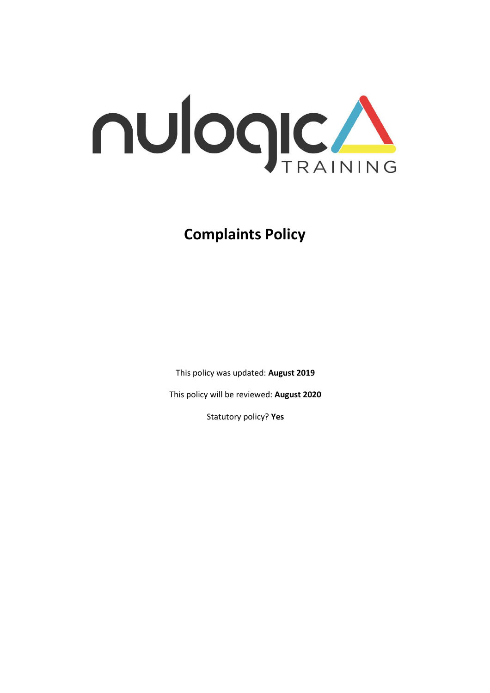

# **Complaints Policy**

This policy was updated: **August 2019**

This policy will be reviewed: **August 2020**

Statutory policy? **Yes**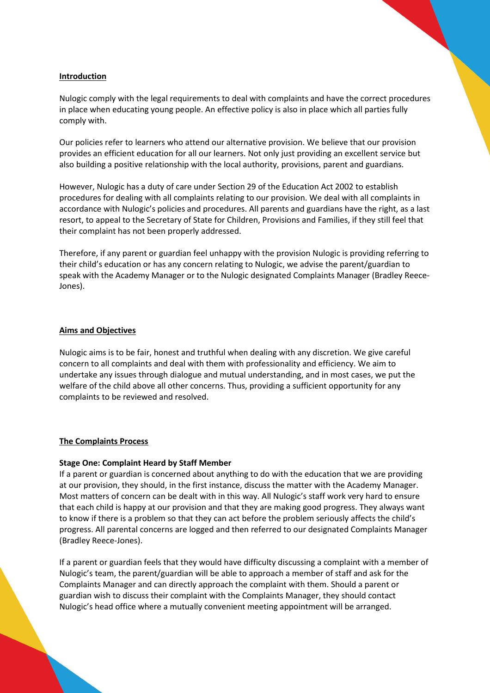#### **Introduction**

Nulogic comply with the legal requirements to deal with complaints and have the correct procedures in place when educating young people. An effective policy is also in place which all parties fully comply with.

Our policies refer to learners who attend our alternative provision. We believe that our provision provides an efficient education for all our learners. Not only just providing an excellent service but also building a positive relationship with the local authority, provisions, parent and guardians.

However, Nulogic has a duty of care under Section 29 of the Education Act 2002 to establish procedures for dealing with all complaints relating to our provision. We deal with all complaints in accordance with Nulogic's policies and procedures. All parents and guardians have the right, as a last resort, to appeal to the Secretary of State for Children, Provisions and Families, if they still feel that their complaint has not been properly addressed.

Therefore, if any parent or guardian feel unhappy with the provision Nulogic is providing referring to their child's education or has any concern relating to Nulogic, we advise the parent/guardian to speak with the Academy Manager or to the Nulogic designated Complaints Manager (Bradley Reece-Jones).

#### **Aims and Objectives**

Nulogic aims is to be fair, honest and truthful when dealing with any discretion. We give careful concern to all complaints and deal with them with professionality and efficiency. We aim to undertake any issues through dialogue and mutual understanding, and in most cases, we put the welfare of the child above all other concerns. Thus, providing a sufficient opportunity for any complaints to be reviewed and resolved.

#### **The Complaints Process**

#### **Stage One: Complaint Heard by Staff Member**

If a parent or guardian is concerned about anything to do with the education that we are providing at our provision, they should, in the first instance, discuss the matter with the Academy Manager. Most matters of concern can be dealt with in this way. All Nulogic's staff work very hard to ensure that each child is happy at our provision and that they are making good progress. They always want to know if there is a problem so that they can act before the problem seriously affects the child's progress. All parental concerns are logged and then referred to our designated Complaints Manager (Bradley Reece-Jones).

If a parent or guardian feels that they would have difficulty discussing a complaint with a member of Nulogic's team, the parent/guardian will be able to approach a member of staff and ask for the Complaints Manager and can directly approach the complaint with them. Should a parent or guardian wish to discuss their complaint with the Complaints Manager, they should contact Nulogic's head office where a mutually convenient meeting appointment will be arranged.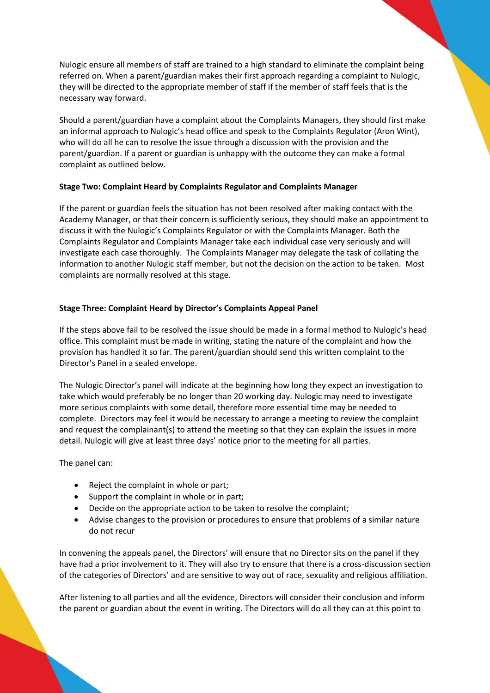Nulogic ensure all members of staff are trained to a high standard to eliminate the complaint being referred on. When a parent/guardian makes their first approach regarding a complaint to Nulogic, they will be directed to the appropriate member of staff if the member of staff feels that is the necessary way forward.

Should a parent/guardian have a complaint about the Complaints Managers, they should first make an informal approach to Nulogic's head office and speak to the Complaints Regulator (Aron Wint), who will do all he can to resolve the issue through a discussion with the provision and the parent/guardian. If a parent or guardian is unhappy with the outcome they can make a formal complaint as outlined below.

## **Stage Two: Complaint Heard by Complaints Regulator and Complaints Manager**

If the parent or guardian feels the situation has not been resolved after making contact with the Academy Manager, or that their concern is sufficiently serious, they should make an appointment to discuss it with the Nulogic's Complaints Regulator or with the Complaints Manager. Both the Complaints Regulator and Complaints Manager take each individual case very seriously and will investigate each case thoroughly. The Complaints Manager may delegate the task of collating the information to another Nulogic staff member, but not the decision on the action to be taken. Most complaints are normally resolved at this stage.

## **Stage Three: Complaint Heard by Director's Complaints Appeal Panel**

If the steps above fail to be resolved the issue should be made in a formal method to Nulogic's head office. This complaint must be made in writing, stating the nature of the complaint and how the provision has handled it so far. The parent/guardian should send this written complaint to the Director's Panel in a sealed envelope.

The Nulogic Director's panel will indicate at the beginning how long they expect an investigation to take which would preferably be no longer than 20 working day. Nulogic may need to investigate more serious complaints with some detail, therefore more essential time may be needed to complete. Directors may feel it would be necessary to arrange a meeting to review the complaint and request the complainant(s) to attend the meeting so that they can explain the issues in more detail. Nulogic will give at least three days' notice prior to the meeting for all parties.

The panel can:

- Reject the complaint in whole or part;
- Support the complaint in whole or in part;
- Decide on the appropriate action to be taken to resolve the complaint;
- Advise changes to the provision or procedures to ensure that problems of a similar nature do not recur

In convening the appeals panel, the Directors' will ensure that no Director sits on the panel if they have had a prior involvement to it. They will also try to ensure that there is a cross-discussion section of the categories of Directors' and are sensitive to way out of race, sexuality and religious affiliation.

After listening to all parties and all the evidence, Directors will consider their conclusion and inform the parent or guardian about the event in writing. The Directors will do all they can at this point to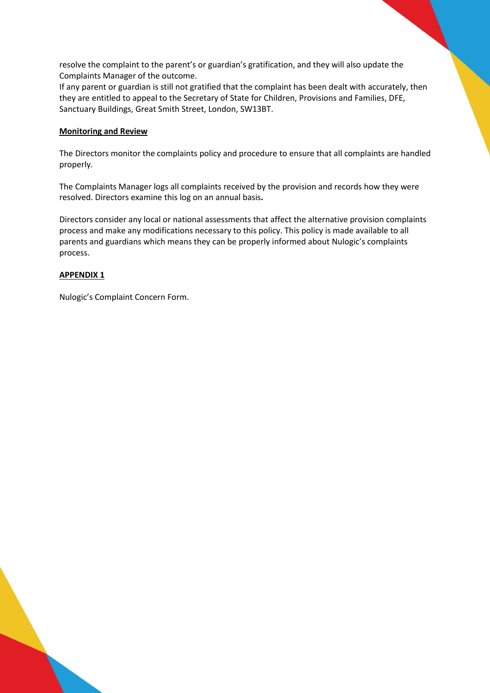resolve the complaint to the parent's or guardian's gratification, and they will also update the Complaints Manager of the outcome.

If any parent or guardian is still not gratified that the complaint has been dealt with accurately, then they are entitled to appeal to the Secretary of State for Children, Provisions and Families, DFE, Sanctuary Buildings, Great Smith Street, London, SW13BT.

### **Monitoring and Review**

The Directors monitor the complaints policy and procedure to ensure that all complaints are handled properly.

The Complaints Manager logs all complaints received by the provision and records how they were resolved. Directors examine this log on an annual basis**.** 

Directors consider any local or national assessments that affect the alternative provision complaints process and make any modifications necessary to this policy. This policy is made available to all parents and guardians which means they can be properly informed about Nulogic's complaints process.

## **APPENDIX 1**

Nulogic's Complaint Concern Form.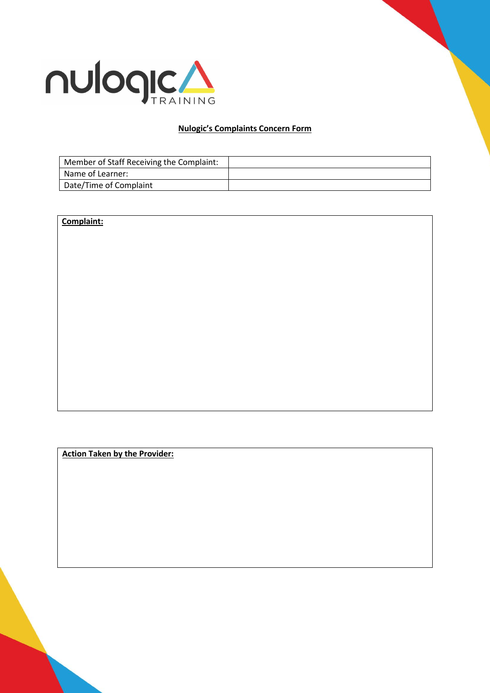

## **Nulogic's Complaints Concern Form**

| Member of Staff Receiving the Complaint: |  |
|------------------------------------------|--|
| Name of Learner:                         |  |
| Date/Time of Complaint                   |  |

# **Complaint:**

**Action Taken by the Provider:**